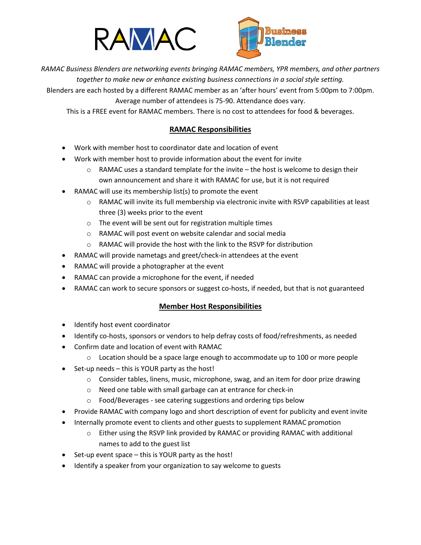



*RAMAC Business Blenders are networking events bringing RAMAC members, YPR members, and other partners together to make new or enhance existing business connections in a social style setting.*

Blenders are each hosted by a different RAMAC member as an 'after hours' event from 5:00pm to 7:00pm. Average number of attendees is 75-90. Attendance does vary.

This is a FREE event for RAMAC members. There is no cost to attendees for food & beverages.

# **RAMAC Responsibilities**

- Work with member host to coordinator date and location of event
- Work with member host to provide information about the event for invite
	- $\circ$  RAMAC uses a standard template for the invite the host is welcome to design their
	- own announcement and share it with RAMAC for use, but it is not required
- RAMAC will use its membership list(s) to promote the event
	- $\circ$  RAMAC will invite its full membership via electronic invite with RSVP capabilities at least three (3) weeks prior to the event
	- o The event will be sent out for registration multiple times
	- o RAMAC will post event on website calendar and social media
	- o RAMAC will provide the host with the link to the RSVP for distribution
- RAMAC will provide nametags and greet/check-in attendees at the event
- RAMAC will provide a photographer at the event
- RAMAC can provide a microphone for the event, if needed
- RAMAC can work to secure sponsors or suggest co-hosts, if needed, but that is not guaranteed

# **Member Host Responsibilities**

- Identify host event coordinator
- Identify co-hosts, sponsors or vendors to help defray costs of food/refreshments, as needed
- Confirm date and location of event with RAMAC
	- $\circ$  Location should be a space large enough to accommodate up to 100 or more people
- Set-up needs this is YOUR party as the host!
	- $\circ$  Consider tables, linens, music, microphone, swag, and an item for door prize drawing
	- o Need one table with small garbage can at entrance for check-in
	- o Food/Beverages see catering suggestions and ordering tips below
- Provide RAMAC with company logo and short description of event for publicity and event invite
- Internally promote event to clients and other guests to supplement RAMAC promotion
	- o Either using the RSVP link provided by RAMAC or providing RAMAC with additional names to add to the guest list
- Set-up event space this is YOUR party as the host!
- Identify a speaker from your organization to say welcome to guests